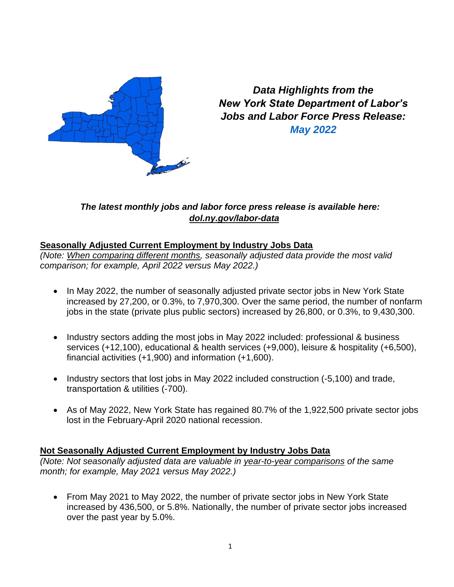

*Data Highlights from the New York State Department of Labor's Jobs and Labor Force Press Release: May 2022*

## *The latest monthly jobs and labor force press release is available here: [dol.ny.gov/labor-data](https://dol.ny.gov/labor-data)*

# **Seasonally Adjusted Current Employment by Industry Jobs Data**

*(Note: When comparing different months, seasonally adjusted data provide the most valid comparison; for example, April 2022 versus May 2022.)*

- In May 2022, the number of seasonally adjusted private sector jobs in New York State increased by 27,200, or 0.3%, to 7,970,300. Over the same period, the number of nonfarm jobs in the state (private plus public sectors) increased by 26,800, or 0.3%, to 9,430,300.
- Industry sectors adding the most jobs in May 2022 included: professional & business services (+12,100), educational & health services (+9,000), leisure & hospitality (+6,500), financial activities (+1,900) and information (+1,600).
- Industry sectors that lost jobs in May 2022 included construction (-5,100) and trade, transportation & utilities (-700).
- As of May 2022, New York State has regained 80.7% of the 1,922,500 private sector jobs lost in the February-April 2020 national recession.

## **Not Seasonally Adjusted Current Employment by Industry Jobs Data**

*(Note: Not seasonally adjusted data are valuable in year-to-year comparisons of the same month; for example, May 2021 versus May 2022.)*

• From May 2021 to May 2022, the number of private sector jobs in New York State increased by 436,500, or 5.8%. Nationally, the number of private sector jobs increased over the past year by 5.0%.